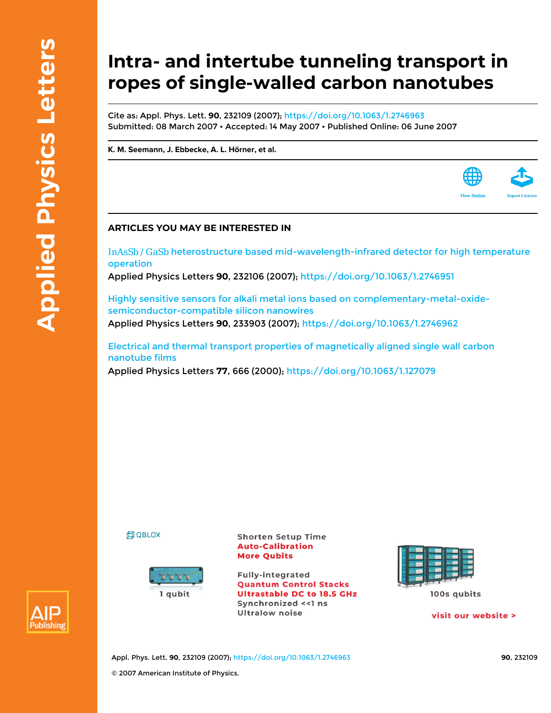## **Intra- and intertube tunneling transport in ropes of single-walled carbon nanotubes**

Cite as: Appl. Phys. Lett. **90**, 232109 (2007);<https://doi.org/10.1063/1.2746963> Submitted: 08 March 2007 • Accepted: 14 May 2007 • Published Online: 06 June 2007

**[K. M. Seemann](https://aip.scitation.org/author/Seemann%2C+K+M), [J. Ebbecke,](https://aip.scitation.org/author/Ebbecke%2C+J) [A. L. Hörner,](https://aip.scitation.org/author/H%C3%B6rner%2C+A+L) et al.**



InAsSb / GaSb [heterostructure based mid-wavelength-infrared detector for high temperature](https://aip.scitation.org/doi/10.1063/1.2746951) [operation](https://aip.scitation.org/doi/10.1063/1.2746951)

Applied Physics Letters **90**, 232106 (2007);<https://doi.org/10.1063/1.2746951>

[Highly sensitive sensors for alkali metal ions based on complementary-metal-oxide](https://aip.scitation.org/doi/10.1063/1.2746962)[semiconductor-compatible silicon nanowires](https://aip.scitation.org/doi/10.1063/1.2746962) Applied Physics Letters **90**, 233903 (2007); <https://doi.org/10.1063/1.2746962>

[Electrical and thermal transport properties of magnetically aligned single wall carbon](https://aip.scitation.org/doi/10.1063/1.127079) [nanotube films](https://aip.scitation.org/doi/10.1063/1.127079) Applied Physics Letters **77**, 666 (2000); <https://doi.org/10.1063/1.127079>





**Shorten Setup Time Auto-Calibration More Qubits** 

**Fully-integrated Quantum Control Stacks Ultrastable DC to 18.5 GHz** Synchronized << 1 ns **Ultralow noise** 



100s qubits

visit our website >

**View Online** 



Appl. Phys. Lett. **90**, 232109 (2007); <https://doi.org/10.1063/1.2746963> **90**, 232109 © 2007 American Institute of Physics.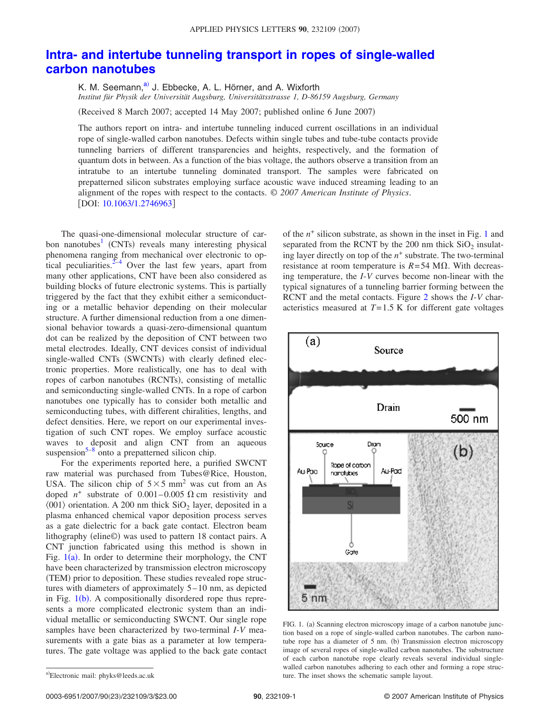## **[Intra- and intertube tunneling transport in ropes of single-walled](http://dx.doi.org/10.1063/1.2746963) [carbon nanotubes](http://dx.doi.org/10.1063/1.2746963)**

K. M. Seemann,<sup>a)</sup> J. Ebbecke, A. L. Hörner, and A. Wixforth *Institut für Physik der Universität Augsburg, Universitätsstrasse 1, D-86159 Augsburg, Germany*

(Received 8 March 2007; accepted 14 May 2007; published online 6 June 2007)

The authors report on intra- and intertube tunneling induced current oscillations in an individual rope of single-walled carbon nanotubes. Defects within single tubes and tube-tube contacts provide tunneling barriers of different transparencies and heights, respectively, and the formation of quantum dots in between. As a function of the bias voltage, the authors observe a transition from an intratube to an intertube tunneling dominated transport. The samples were fabricated on prepatterned silicon substrates employing surface acoustic wave induced streaming leading to an alignment of the ropes with respect to the contacts. © *2007 American Institute of Physics*. [DOI: [10.1063/1.2746963](http://dx.doi.org/10.1063/1.2746963)]

The quasi-one-dimensional molecular structure of carbon nanotubes<sup>1</sup> (CNTs) reveals many interesting physical phenomena ranging from mechanical over electronic to optical peculiarities. $2^{-4}$  Over the last few years, apart from many other applications, CNT have been also considered as building blocks of future electronic systems. This is partially triggered by the fact that they exhibit either a semiconducting or a metallic behavior depending on their molecular structure. A further dimensional reduction from a one dimensional behavior towards a quasi-zero-dimensional quantum dot can be realized by the deposition of CNT between two metal electrodes. Ideally, CNT devices consist of individual single-walled CNTs (SWCNTs) with clearly defined electronic properties. More realistically, one has to deal with ropes of carbon nanotubes (RCNTs), consisting of metallic and semiconducting single-walled CNTs. In a rope of carbon nanotubes one typically has to consider both metallic and semiconducting tubes, with different chiralities, lengths, and defect densities. Here, we report on our experimental investigation of such CNT ropes. We employ surface acoustic waves to deposit and align CNT from an aqueous suspension $5-8$  onto a prepatterned silicon chip.

For the experiments reported here, a purified SWCNT raw material was purchased from Tubes@Rice, Houston, USA. The silicon chip of  $5 \times 5$  mm<sup>2</sup> was cut from an As doped  $n^+$  substrate of 0.001–0.005  $\Omega$  cm resistivity and  $\langle 001 \rangle$  orientation. A 200 nm thick SiO<sub>2</sub> layer, deposited in a plasma enhanced chemical vapor deposition process serves as a gate dielectric for a back gate contact. Electron beam lithography (eline©) was used to pattern 18 contact pairs. A CNT junction fabricated using this method is shown in Fig.  $1(a)$  $1(a)$ . In order to determine their morphology, the CNT have been characterized by transmission electron microscopy (TEM) prior to deposition. These studies revealed rope structures with diameters of approximately 5–10 nm, as depicted in Fig. [1](#page-1-1)(b). A compositionally disordered rope thus represents a more complicated electronic system than an individual metallic or semiconducting SWCNT. Our single rope samples have been characterized by two-terminal *I*-*V* measurements with a gate bias as a parameter at low temperatures. The gate voltage was applied to the back gate contact of the *n*<sup>+</sup> silicon substrate, as shown in the inset in Fig. [1](#page-1-1) and separated from the RCNT by the 200 nm thick  $SiO<sub>2</sub>$  insulating layer directly on top of the  $n^+$  substrate. The two-terminal resistance at room temperature is  $R = 54$  M $\Omega$ . With decreasing temperature, the *I*-*V* curves become non-linear with the typical signatures of a tunneling barrier forming between the RCNT and the metal contacts. Figure [2](#page-2-0) shows the *I*-*V* characteristics measured at *T*=1.5 K for different gate voltages

<span id="page-1-1"></span>

FIG. 1. (a) Scanning electron microscopy image of a carbon nanotube junction based on a rope of single-walled carbon nanotubes. The carbon nanotube rope has a diameter of 5 nm. (b) Transmission electron microscopy image of several ropes of single-walled carbon nanotubes. The substructure of each carbon nanotube rope clearly reveals several individual singlewalled carbon nanotubes adhering to each other and forming a rope structure. The inset shows the schematic sample layout.

0003-6951/2007/90(23)/232109/3/\$23.00

<span id="page-1-0"></span>a)<br>Electronic mail: phyks@leeds.ac.uk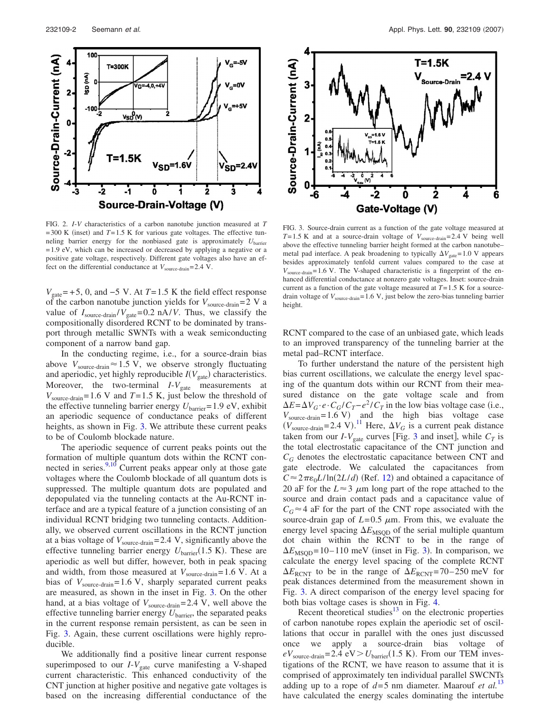<span id="page-2-0"></span>

FIG. 2. *I*-*V* characteristics of a carbon nanotube junction measured at *T*  $=300$  K (inset) and  $T=1.5$  K for various gate voltages. The effective tunneling barrier energy for the nonbiased gate is approximately *U*barrier =1.9 eV, which can be increased or decreased by applying a negative or a positive gate voltage, respectively. Different gate voltages also have an effect on the differential conductance at  $V_{\text{source-drain}} = 2.4 \text{ V}.$ 

 $V_{\text{gate}}$ = +5, 0, and −5 V. At *T* = 1.5 K the field effect response of the carbon nanotube junction yields for  $V_{\text{source-drain}} = 2 \text{ V a}$ value of  $I_{\text{source-drain}}/V_{\text{gate}} = 0.2 \text{ nA}/V$ . Thus, we classify the compositionally disordered RCNT to be dominated by transport through metallic SWNTs with a weak semiconducting component of a narrow band gap.

In the conducting regime, i.e., for a source-drain bias above  $V_{\text{source-drain}} \approx 1.5 \text{ V}$ , we observe strongly fluctuating and aperiodic, yet highly reproducible  $I(V_{gate})$  characteristics. Moreover, the two-terminal  $I-V_{gate}$  measurements at  $V_{\text{source-drain}} = 1.6 \text{ V}$  and  $T = 1.5 \text{ K}$ , just below the threshold of the effective tunneling barrier energy  $U_{barrier}=1.9 \text{ eV}$ , exhibit an aperiodic sequence of conductance peaks of different heights, as shown in Fig. [3.](#page-2-1) We attribute these current peaks to be of Coulomb blockade nature.

The aperiodic sequence of current peaks points out the formation of multiple quantum dots within the RCNT connected in series. $9,10$  $9,10$  Current peaks appear only at those gate voltages where the Coulomb blockade of all quantum dots is suppressed. The multiple quantum dots are populated and depopulated via the tunneling contacts at the Au-RCNT interface and are a typical feature of a junction consisting of an individual RCNT bridging two tunneling contacts. Additionally, we observed current oscillations in the RCNT junction at a bias voltage of  $V_{\text{source-drain}} = 2.4 \text{ V}$ , significantly above the effective tunneling barrier energy  $U_{\text{barrier}}(1.5 \text{ K})$ . These are aperiodic as well but differ, however, both in peak spacing and width, from those measured at  $V_{\text{source-drain}} = 1.6 \text{ V}$ . At a bias of  $V_{\text{source-drain}}=1.6 \text{ V}$ , sharply separated current peaks are measured, as shown in the inset in Fig. [3.](#page-2-1) On the other hand, at a bias voltage of  $V_{\text{source-drain}}=2.4 \text{ V}$ , well above the effective tunneling barrier energy  $U_{\text{barrier}}$ , the separated peaks in the current response remain persistent, as can be seen in Fig. [3.](#page-2-1) Again, these current oscillations were highly reproducible.

We additionally find a positive linear current response superimposed to our  $I-V_{gate}$  curve manifesting a V-shaped current characteristic. This enhanced conductivity of the CNT junction at higher positive and negative gate voltages is based on the increasing differential conductance of the

<span id="page-2-1"></span>

FIG. 3. Source-drain current as a function of the gate voltage measured at  $T=1.5$  K and at a source-drain voltage of  $V_{\text{source-drain}}=2.4$  V being well above the effective tunneling barrier height formed at the carbon nanotube– metal pad interface. A peak broadening to typically  $\Delta V_{\text{gate}} = 1.0 \text{ V}$  appears besides approximately tenfold current values compared to the case at *V*source-drain=1.6 V. The V-shaped characteristic is a fingerprint of the enhanced differential conductance at nonzero gate voltages. Inset: source-drain current as a function of the gate voltage measured at  $T=1.5$  K for a sourcedrain voltage of  $V_{\text{source-drain}}=1.6 \text{ V}$ , just below the zero-bias tunneling barrier height.

RCNT compared to the case of an unbiased gate, which leads to an improved transparency of the tunneling barrier at the metal pad–RCNT interface.

To further understand the nature of the persistent high bias current oscillations, we calculate the energy level spacing of the quantum dots within our RCNT from their measured distance on the gate voltage scale and from  $\Delta E = \Delta V_G \cdot e \cdot C_G / C_T - e^2 / C_T$  in the low bias voltage case (i.e.,  $V_{\text{source-drain}} = 1.6 \text{ V}$  and the high bias voltage case  $(V_{\text{source-drain}} = 2.4 \text{ V}).$ <sup>[11](#page-3-7)</sup> Here,  $\Delta V_G$  is a current peak distance taken from our *I*- $V_{\text{gate}}$  curves [Fig. [3](#page-2-1) and inset], while  $C_T$  is the total electrostatic capacitance of the CNT junction and *CG* denotes the electrostatic capacitance between CNT and gate electrode. We calculated the capacitances from  $C \approx 2\pi\varepsilon_0 L/\ln(2L/d)$  (Ref. [12](#page-3-8)) and obtained a capacitance of 20 aF for the  $L \approx 3 \mu m$  long part of the rope attached to the source and drain contact pads and a capacitance value of  $C_G \approx 4$  aF for the part of the CNT rope associated with the source-drain gap of  $L=0.5 \mu m$ . From this, we evaluate the energy level spacing  $\Delta E_{\text{MSOD}}$  of the serial multiple quantum dot chain within the RCNT to be in the range of  $\Delta E_{\text{MSQD}} = 10 - 110$  meV (inset in Fig. [3](#page-2-1)). In comparison, we calculate the energy level spacing of the complete RCNT  $\Delta E_{\text{RCNT}}$  to be in the range of  $\Delta E_{\text{RCNT}}$ =70–250 meV for peak distances determined from the measurement shown in Fig. [3.](#page-2-1) A direct comparison of the energy level spacing for both bias voltage cases is shown in Fig. [4.](#page-3-9)

Recent theoretical studies $13$  on the electronic properties of carbon nanotube ropes explain the aperiodic set of oscillations that occur in parallel with the ones just discussed once we apply a source-drain bias voltage of  $eV_{\text{source-drain}} = 2.4 \text{ eV} > U_{\text{barrier}}(1.5 \text{ K})$ . From our TEM investigations of the RCNT, we have reason to assume that it is comprised of approximately ten individual parallel SWCNTs adding up to a rope of  $d=5$  nm diameter. Maarouf *et al.*<sup>[13](#page-3-10)</sup> have calculated the energy scales dominating the intertube